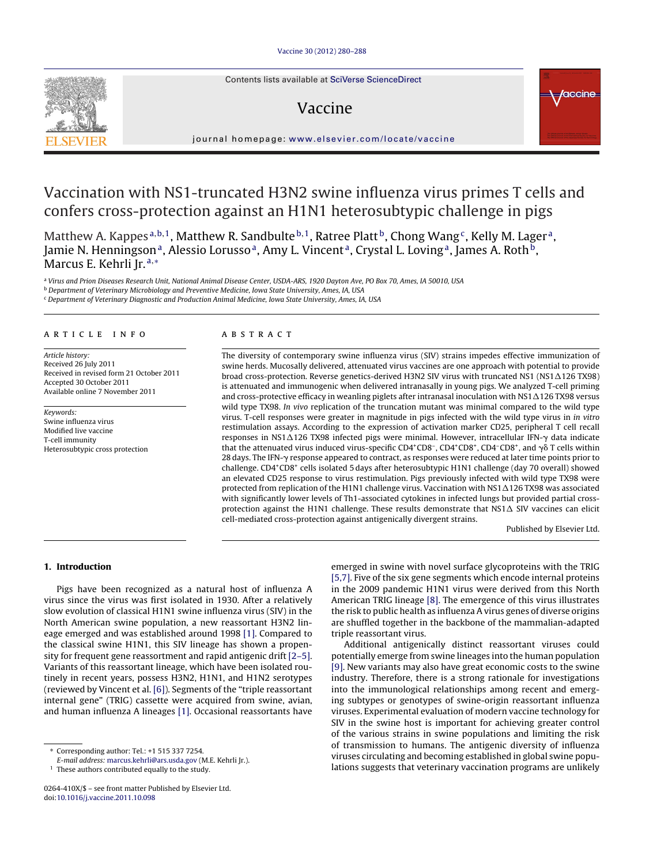Contents lists available at SciVerse [ScienceDirect](http://www.sciencedirect.com/science/journal/0264410X)

## Vaccine



iournal homepage: [www.elsevier.com/locate/vaccine](http://www.elsevier.com/locate/vaccine)

# Vaccination with NS1-truncated H3N2 swine influenza virus primes T cells and confers cross-protection against an H1N1 heterosubtypic challenge in pigs

Matthew A. Kappes<sup>a,b,1</sup>, Matthew R. Sandbulte <sup>b,1</sup>, Ratree Platt <sup>b</sup>, Chong Wang<sup>c</sup>, Kelly M. Lager<sup>a</sup>, Jamie N. Henningson<sup>a</sup>, Alessio Lorusso<sup>a</sup>, Amy L. Vincent<sup>a</sup>, Crystal L. Loving<sup>a</sup>, James A. Roth<sup>b</sup>, Marcus E. Kehrli Jr. <sup>a</sup>,<sup>∗</sup>

<sup>a</sup> Virus and Prion Diseases Research Unit, National Animal Disease Center, USDA-ARS, 1920 Dayton Ave, PO Box 70, Ames, IA 50010, USA

<sup>b</sup> Department of Veterinary Microbiology and Preventive Medicine, Iowa State University, Ames, IA, USA

<sup>c</sup> Department of Veterinary Diagnostic and Production Animal Medicine, Iowa State University, Ames, IA, USA

## a r t i c l e i n f o

Article history: Received 26 July 2011 Received in revised form 21 October 2011 Accepted 30 October 2011 Available online 7 November 2011

Keywords: Swine influenza virus Modified live vaccine T-cell immunity Heterosubtypic cross protection

## A B S T R A C T

The diversity of contemporary swine influenza virus (SIV) strains impedes effective immunization of swine herds. Mucosally delivered, attenuated virus vaccines are one approach with potential to provide broad cross-protection. Reverse genetics-derived H3N2 SIV virus with truncated NS1 (NS1 $\Delta$ 126 TX98) is attenuated and immunogenic when delivered intranasally in young pigs. We analyzed T-cell priming and cross-protective efficacy in weanling piglets after intranasal inoculation with NS1  $\Delta$ 126 TX98 versus wild type TX98. In vivo replication of the truncation mutant was minimal compared to the wild type virus. T-cell responses were greater in magnitude in pigs infected with the wild type virus in in vitro restimulation assays. According to the expression of activation marker CD25, peripheral T cell recall responses in NS1∆126 TX98 infected pigs were minimal. However, intracellular IFN-γ data indicate that the attenuated virus induced virus-specific CD4<sup>+</sup>CD8<sup>-</sup>, CD4<sup>+</sup>CD8<sup>+</sup>, CD4<sup>-</sup>CD8<sup>+</sup>, and  $\gamma\delta$  T cells within 28 days. The IFN- $\gamma$  response appeared to contract, as responses were reduced at later time points prior to challenge. CD4+CD8+ cells isolated 5 days after heterosubtypic H1N1 challenge (day 70 overall) showed an elevated CD25 response to virus restimulation. Pigs previously infected with wild type TX98 were protected from replication of the H1N1 challenge virus. Vaccination with NS1 $\Delta$ 126 TX98 was associated with significantly lower levels of Th1-associated cytokines in infected lungs but provided partial crossprotection against the H1N1 challenge. These results demonstrate that NS1 $\Delta$  SIV vaccines can elicit cell-mediated cross-protection against antigenically divergent strains.

Published by Elsevier Ltd.

## **1. Introduction**

Pigs have been recognized as a natural host of influenza A virus since the virus was first isolated in 1930. After a relatively slow evolution of classical H1N1 swine influenza virus (SIV) in the North American swine population, a new reassortant H3N2 lineage emerged and was established around 1998 [\[1\].](#page-7-0) Compared to the classical swine H1N1, this SIV lineage has shown a propensity for frequent gene reassortment and rapid antigenic drift [\[2–5\].](#page-7-0) Variants of this reassortant lineage, which have been isolated routinely in recent years, possess H3N2, H1N1, and H1N2 serotypes (reviewed by Vincent et al. [\[6\]\).](#page-7-0) Segments of the "triple reassortant internal gene" (TRIG) cassette were acquired from swine, avian, and human influenza A lineages [\[1\].](#page-7-0) Occasional reassortants have emerged in swine with novel surface glycoproteins with the TRIG [\[5,7\].](#page-7-0) Five of the six gene segments which encode internal proteins in the 2009 pandemic H1N1 virus were derived from this North American TRIG lineage [\[8\].](#page-7-0) The emergence of this virus illustrates the risk to public health as influenza A virus genes of diverse origins are shuffled together in the backbone of the mammalian-adapted triple reassortant virus.

Additional antigenically distinct reassortant viruses could potentially emerge from swine lineages into the human population [\[9\].](#page-7-0) New variants may also have great economic costs to the swine industry. Therefore, there is a strong rationale for investigations into the immunological relationships among recent and emerging subtypes or genotypes of swine-origin reassortant influenza viruses. Experimental evaluation of modern vaccine technology for SIV in the swine host is important for achieving greater control of the various strains in swine populations and limiting the risk of transmission to humans. The antigenic diversity of influenza viruses circulating and becoming established in global swine populations suggests that veterinary vaccination programs are unlikely

<sup>∗</sup> Corresponding author: Tel.: +1 515 337 7254.

E-mail address: [marcus.kehrli@ars.usda.gov](mailto:marcus.kehrli@ars.usda.gov) (M.E. Kehrli Jr.).

 $1$  These authors contributed equally to the study.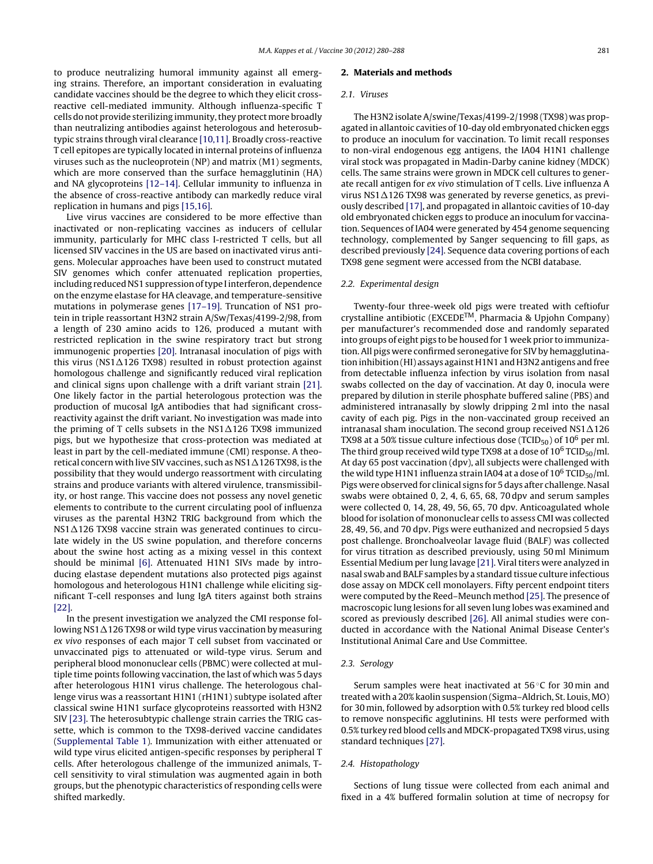<span id="page-1-0"></span>to produce neutralizing humoral immunity against all emerging strains. Therefore, an important consideration in evaluating candidate vaccines should be the degree to which they elicit crossreactive cell-mediated immunity. Although influenza-specific T cells do not provide sterilizing immunity, they protect more broadly than neutralizing antibodies against heterologous and heterosubtypic strains through viral clearance [\[10,11\].](#page-7-0) Broadly cross-reactive T cell epitopes are typically located in internal proteins of influenza viruses such as the nucleoprotein (NP) and matrix (M1) segments, which are more conserved than the surface hemagglutinin (HA) and NA glycoproteins [\[12–14\].](#page-7-0) Cellular immunity to influenza in the absence of cross-reactive antibody can markedly reduce viral replication in humans and pigs [\[15,16\].](#page-7-0)

Live virus vaccines are considered to be more effective than inactivated or non-replicating vaccines as inducers of cellular immunity, particularly for MHC class I-restricted T cells, but all licensed SIV vaccines in the US are based on inactivated virus antigens. Molecular approaches have been used to construct mutated SIV genomes which confer attenuated replication properties, including reduced NS1 suppression of type I interferon, dependence on the enzyme elastase for HA cleavage, and temperature-sensitive mutations in polymerase genes [\[17–19\].](#page-7-0) Truncation of NS1 protein in triple reassortant H3N2 strain A/Sw/Texas/4199-2/98, from a length of 230 amino acids to 126, produced a mutant with restricted replication in the swine respiratory tract but strong immunogenic properties [\[20\].](#page-7-0) Intranasal inoculation of pigs with this virus (NS1 $\Delta$ 126 TX98) resulted in robust protection against homologous challenge and significantly reduced viral replication and clinical signs upon challenge with a drift variant strain [\[21\].](#page-7-0) One likely factor in the partial heterologous protection was the production of mucosal IgA antibodies that had significant crossreactivity against the drift variant. No investigation was made into the priming of T cells subsets in the NS1 $\Delta$ 126 TX98 immunized pigs, but we hypothesize that cross-protection was mediated at least in part by the cell-mediated immune (CMI) response. A theoretical concern with live SIV vaccines, such as NS1  $\Delta$ 126 TX98, is the possibility that they would undergo reassortment with circulating strains and produce variants with altered virulence, transmissibility, or host range. This vaccine does not possess any novel genetic elements to contribute to the current circulating pool of influenza viruses as the parental H3N2 TRIG background from which the  $\rm N S1\Delta126$  TX98 vaccine strain was generated continues to circulate widely in the US swine population, and therefore concerns about the swine host acting as a mixing vessel in this context should be minimal [\[6\].](#page-7-0) Attenuated H1N1 SIVs made by introducing elastase dependent mutations also protected pigs against homologous and heterologous H1N1 challenge while eliciting significant T-cell responses and lung IgA titers against both strains [\[22\].](#page-7-0)

In the present investigation we analyzed the CMI response following NS1 $\Delta$ 126 TX98 or wild type virus vaccination by measuring ex vivo responses of each major T cell subset from vaccinated or unvaccinated pigs to attenuated or wild-type virus. Serum and peripheral blood mononuclear cells (PBMC) were collected at multiple time points following vaccination, the last of which was 5 days after heterologous H1N1 virus challenge. The heterologous challenge virus was a reassortant H1N1 (rH1N1) subtype isolated after classical swine H1N1 surface glycoproteins reassorted with H3N2 SIV [\[23\].](#page-7-0) The heterosubtypic challenge strain carries the TRIG cassette, which is common to the TX98-derived vaccine candidates ([Supplemental](#page-7-0) [Table](#page-7-0) [1\).](#page-7-0) Immunization with either attenuated or wild type virus elicited antigen-specific responses by peripheral T cells. After heterologous challenge of the immunized animals, Tcell sensitivity to viral stimulation was augmented again in both groups, but the phenotypic characteristics of responding cells were shifted markedly.

#### **2. Materials and methods**

#### 2.1. Viruses

The H3N2 isolate A/swine/Texas/4199-2/1998 (TX98) was propagated in allantoic cavities of 10-day old embryonated chicken eggs to produce an inoculum for vaccination. To limit recall responses to non-viral endogenous egg antigens, the IA04 H1N1 challenge viral stock was propagated in Madin-Darby canine kidney (MDCK) cells. The same strains were grown in MDCK cell cultures to generate recall antigen for ex vivo stimulation of T cells. Live influenza A virus  $NS1\Delta126$  TX98 was generated by reverse genetics, as previously described [\[17\],](#page-7-0) and propagated in allantoic cavities of 10-day old embryonated chicken eggs to produce an inoculum for vaccination. Sequences of IA04 were generated by 454 genome sequencing technology, complemented by Sanger sequencing to fill gaps, as described previously [\[24\].](#page-7-0) Sequence data covering portions of each TX98 gene segment were accessed from the NCBI database.

## 2.2. Experimental design

Twenty-four three-week old pigs were treated with ceftiofur crystalline antibiotic (EXCEDETM, Pharmacia & Upjohn Company) per manufacturer's recommended dose and randomly separated into groups of eight pigs to be housed for 1 week prior to immunization. All pigs were confirmed seronegative for SIV by hemagglutination inhibition (HI) assays against H1N1 and H3N2 antigens and free from detectable influenza infection by virus isolation from nasal swabs collected on the day of vaccination. At day 0, inocula were prepared by dilution in sterile phosphate buffered saline (PBS) and administered intranasally by slowly dripping 2 ml into the nasal cavity of each pig. Pigs in the non-vaccinated group received an intranasal sham inoculation. The second group received  $NSA\Delta126$ TX98 at a 50% tissue culture infectious dose (TCID<sub>50</sub>) of  $10^6$  per ml. The third group received wild type TX98 at a dose of  $10^6$  TCID<sub>50</sub>/ml. At day 65 post vaccination (dpv), all subjects were challenged with the wild type H1N1 influenza strain IA04 at a dose of  $10^6$  TCID<sub>50</sub>/ml. Pigs were observed for clinical signs for 5 days after challenge. Nasal swabs were obtained 0, 2, 4, 6, 65, 68, 70 dpv and serum samples were collected 0, 14, 28, 49, 56, 65, 70 dpv. Anticoagulated whole blood for isolation of mononuclear cells to assess CMI was collected 28, 49, 56, and 70 dpv. Pigs were euthanized and necropsied 5 days post challenge. Bronchoalveolar lavage fluid (BALF) was collected for virus titration as described previously, using 50 ml Minimum Essential Medium per lung lavage [\[21\].](#page-7-0) Viral titers were analyzed in nasal swab and BALF samples by a standard tissue culture infectious dose assay on MDCK cell monolayers. Fifty percent endpoint titers were computed by the Reed–Meunch method [\[25\].](#page-7-0) The presence of macroscopic lung lesions for all seven lung lobes was examined and scored as previously described [\[26\].](#page-7-0) All animal studies were conducted in accordance with the National Animal Disease Center's Institutional Animal Care and Use Committee.

## 2.3. Serology

Serum samples were heat inactivated at 56 ◦C for 30 min and treated with a 20% kaolin suspension (Sigma–Aldrich, St. Louis, MO) for 30 min, followed by adsorption with 0.5% turkey red blood cells to remove nonspecific agglutinins. HI tests were performed with 0.5% turkey red blood cells and MDCK-propagated TX98 virus, using standard techniques [\[27\].](#page-7-0)

### 2.4. Histopathology

Sections of lung tissue were collected from each animal and fixed in a 4% buffered formalin solution at time of necropsy for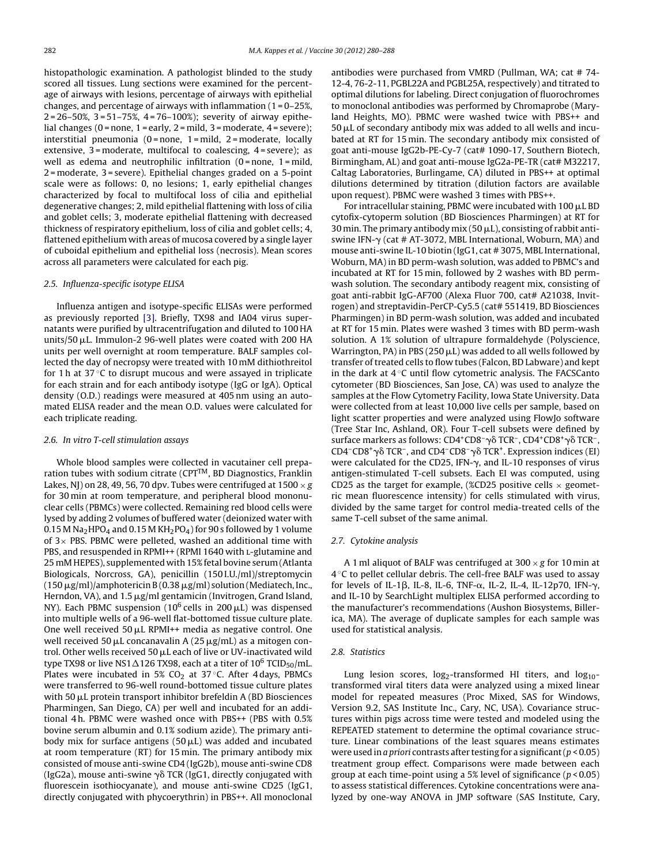histopathologic examination. A pathologist blinded to the study scored all tissues. Lung sections were examined for the percentage of airways with lesions, percentage of airways with epithelial changes, and percentage of airways with inflammation  $(1 = 0 - 25\%)$ 2 = 26–50%, 3 = 51–75%, 4 = 76–100%); severity of airway epithelial changes (0 = none, 1 = early, 2 = mild, 3 = moderate, 4 = severe); interstitial pneumonia (0 = none,  $1$  = mild,  $2$  = moderate, locally extensive, 3 = moderate, multifocal to coalescing, 4 = severe); as well as edema and neutrophilic infiltration  $(0 = none, 1 = mild,$ 2 = moderate, 3 = severe). Epithelial changes graded on a 5-point scale were as follows: 0, no lesions; 1, early epithelial changes characterized by focal to multifocal loss of cilia and epithelial degenerative changes; 2, mild epithelial flattening with loss of cilia and goblet cells; 3, moderate epithelial flattening with decreased thickness of respiratory epithelium, loss of cilia and goblet cells; 4, flattened epithelium with areas of mucosa covered by a single layer of cuboidal epithelium and epithelial loss (necrosis). Mean scores across all parameters were calculated for each pig.

## 2.5. Influenza-specific isotype ELISA

Influenza antigen and isotype-specific ELISAs were performed as previously reported [\[3\].](#page-7-0) Briefly, TX98 and IA04 virus supernatants were purified by ultracentrifugation and diluted to 100 HA units/50  $\mu$ L. Immulon-2 96-well plates were coated with 200 HA units per well overnight at room temperature. BALF samples collected the day of necropsy were treated with 10 mM dithiothreitol for 1 h at 37 °C to disrupt mucous and were assayed in triplicate for each strain and for each antibody isotype (IgG or IgA). Optical density (O.D.) readings were measured at 405 nm using an automated ELISA reader and the mean O.D. values were calculated for each triplicate reading.

#### 2.6. In vitro T-cell stimulation assays

Whole blood samples were collected in vacutainer cell preparation tubes with sodium citrate ( $CPT^{TM}$ , BD Diagnostics, Franklin Lakes, NJ) on 28, 49, 56, 70 dpv. Tubes were centrifuged at  $1500 \times g$ for 30 min at room temperature, and peripheral blood mononuclear cells (PBMCs) were collected. Remaining red blood cells were lysed by adding 2 volumes of buffered water (deionized water with 0.15 M Na<sub>2</sub>HPO<sub>4</sub> and 0.15 M KH<sub>2</sub>PO<sub>4</sub>) for 90 s followed by 1 volume of  $3\times$  PBS. PBMC were pelleted, washed an additional time with PBS, and resuspended in RPMI++ (RPMI 1640 with L-glutamine and 25 mM HEPES), supplemented with 15% fetal bovine serum (Atlanta Biologicals, Norcross, GA), penicillin (150 I.U./ml)/streptomycin (150  $\mu$ g/ml)/amphotericin B (0.38  $\mu$ g/ml) solution (Mediatech, Inc., Herndon, VA), and  $1.5 \,\mathrm{\upmu g/mol}$  gentamicin (Invitrogen, Grand Island, NY). Each PBMC suspension (10<sup>6</sup> cells in 200  $\mu$ L) was dispensed into multiple wells of a 96-well flat-bottomed tissue culture plate. One well received 50  $\mu$ L RPMI++ media as negative control. One well received 50  $\mu$ L concanavalin A (25  $\mu$ g/mL) as a mitogen control. Other wells received 50  $\mu$ L each of live or UV-inactivated wild type TX98 or live NS1 $\Delta$ 126 TX98, each at a titer of 10 $^6$  TCID $_{50}/$ mL. Plates were incubated in 5%  $CO<sub>2</sub>$  at 37 °C. After 4 days, PBMCs were transferred to 96-well round-bottomed tissue culture plates with 50  $\mu$ L protein transport inhibitor brefeldin A (BD Biosciences Pharmingen, San Diego, CA) per well and incubated for an additional 4 h. PBMC were washed once with PBS++ (PBS with 0.5% bovine serum albumin and 0.1% sodium azide). The primary antibody mix for surface antigens  $(50 \,\mu L)$  was added and incubated at room temperature (RT) for 15 min. The primary antibody mix consisted of mouse anti-swine CD4 (IgG2b), mouse anti-swine CD8 (IgG2a), mouse anti-swine  $\gamma$  $\delta$  TCR (IgG1, directly conjugated with fluorescein isothiocyanate), and mouse anti-swine CD25 (IgG1, directly conjugated with phycoerythrin) in PBS++. All monoclonal antibodies were purchased from VMRD (Pullman, WA; cat # 74- 12-4, 76-2-11, PGBL22A and PGBL25A, respectively) and titrated to optimal dilutions for labeling. Direct conjugation of fluorochromes to monoclonal antibodies was performed by Chromaprobe (Maryland Heights, MO). PBMC were washed twice with PBS++ and  $50 \mu$ L of secondary antibody mix was added to all wells and incubated at RT for 15 min. The secondary antibody mix consisted of goat anti-mouse IgG2b-PE-Cy-7 (cat# 1090-17, Southern Biotech, Birmingham, AL) and goat anti-mouse IgG2a-PE-TR (cat# M32217, Caltag Laboratories, Burlingame, CA) diluted in PBS++ at optimal dilutions determined by titration (dilution factors are available upon request). PBMC were washed 3 times with PBS++.

For intracellular staining, PBMC were incubated with  $100 \mu L$  BD cytofix-cytoperm solution (BD Biosciences Pharmingen) at RT for 30 min. The primary antibody mix  $(50 \mu L)$ , consisting of rabbit antiswine IFN- $\gamma$  (cat # AT-3072, MBL International, Woburn, MA) and mouse anti-swine IL-10 biotin (IgG1, cat # 3075, MBL International, Woburn, MA) in BD perm-wash solution, was added to PBMC's and incubated at RT for 15 min, followed by 2 washes with BD permwash solution. The secondary antibody reagent mix, consisting of goat anti-rabbit IgG-AF700 (Alexa Fluor 700, cat# A21038, Invitrogen) and streptavidin-PerCP-Cy5.5 (cat# 551419, BD Biosciences Pharmingen) in BD perm-wash solution, was added and incubated at RT for 15 min. Plates were washed 3 times with BD perm-wash solution. A 1% solution of ultrapure formaldehyde (Polyscience, Warrington, PA) in PBS (250  $\mu$ L) was added to all wells followed by transfer of treated cells to flow tubes (Falcon, BD Labware) and kept in the dark at 4 ◦C until flow cytometric analysis. The FACSCanto cytometer (BD Biosciences, San Jose, CA) was used to analyze the samples at the Flow Cytometry Facility, Iowa State University. Data were collected from at least 10,000 live cells per sample, based on light scatter properties and were analyzed using FlowJo software (Tree Star Inc, Ashland, OR). Four T-cell subsets were defined by surface markers as follows: CD4<sup>+</sup>CD8<sup>-</sup>γδ TCR<sup>-</sup>, CD4<sup>+</sup>CD8<sup>+</sup>γδ TCR<sup>-</sup>, CD4<sup>-</sup>CD8<sup>+</sup> $\gamma\delta$  TCR<sup>-</sup>, and CD4<sup>-</sup>CD8<sup>-</sup> $\gamma\delta$  TCR<sup>+</sup>. Expression indices (EI) were calculated for the CD25, IFN- $\gamma$ , and IL-10 responses of virus antigen-stimulated T-cell subsets. Each EI was computed, using CD25 as the target for example, (%CD25 positive cells  $\times$  geometric mean fluorescence intensity) for cells stimulated with virus, divided by the same target for control media-treated cells of the same T-cell subset of the same animal.

#### 2.7. Cytokine analysis

A 1 ml aliquot of BALF was centrifuged at  $300 \times g$  for 10 min at 4 ◦C to pellet cellular debris. The cell-free BALF was used to assay for levels of IL-1β, IL-8, IL-6, TNF- $\alpha$ , IL-2, IL-4, IL-12p70, IFN- $\gamma$ , and IL-10 by SearchLight multiplex ELISA performed according to the manufacturer's recommendations (Aushon Biosystems, Billerica, MA). The average of duplicate samples for each sample was used for statistical analysis.

#### 2.8. Statistics

Lung lesion scores,  $log_2$ -transformed HI titers, and  $log_{10}$ transformed viral titers data were analyzed using a mixed linear model for repeated measures (Proc Mixed, SAS for Windows, Version 9.2, SAS Institute Inc., Cary, NC, USA). Covariance structures within pigs across time were tested and modeled using the REPEATED statement to determine the optimal covariance structure. Linear combinations of the least squares means estimates were used in a priori contrasts after testing for a significant ( $p < 0.05$ ) treatment group effect. Comparisons were made between each group at each time-point using a 5% level of significance ( $p < 0.05$ ) to assess statistical differences. Cytokine concentrations were analyzed by one-way ANOVA in JMP software (SAS Institute, Cary,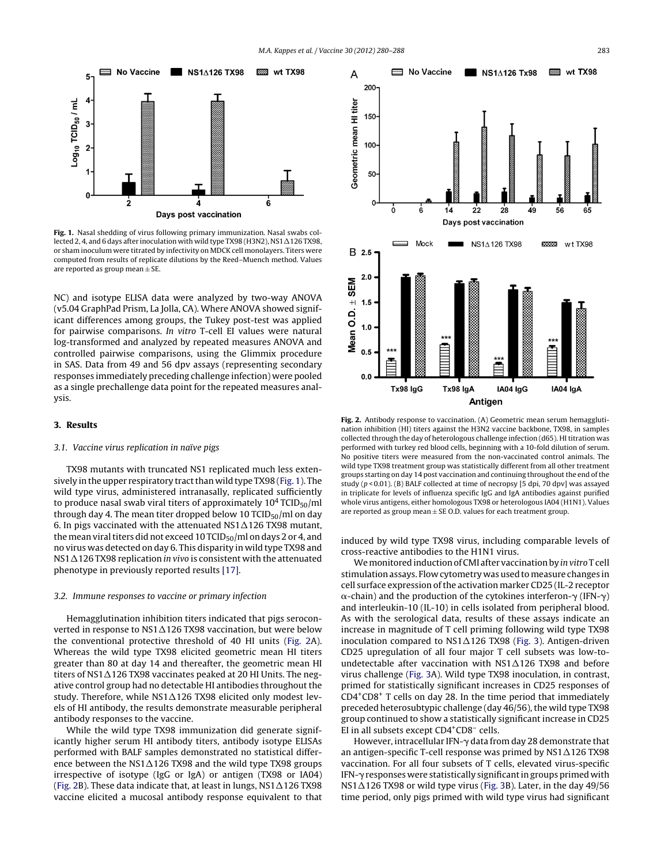

**Fig. 1.** Nasal shedding of virus following primary immunization. Nasal swabs collected 2, 4, and 6 days after inoculation with wild type TX98 (H3N2), NS1  $\Delta$ 126 TX98, or sham inoculum were titrated by infectivity on MDCK cell monolayers. Titers were computed from results of replicate dilutions by the Reed–Muench method. Values are reported as group mean  $\pm$  SE.

NC) and isotype ELISA data were analyzed by two-way ANOVA (v5.04 GraphPad Prism, La Jolla, CA). Where ANOVA showed significant differences among groups, the Tukey post-test was applied for pairwise comparisons. In vitro T-cell EI values were natural log-transformed and analyzed by repeated measures ANOVA and controlled pairwise comparisons, using the Glimmix procedure in SAS. Data from 49 and 56 dpv assays (representing secondary responses immediately preceding challenge infection) were pooled as a single prechallenge data point for the repeated measures analysis.

#### **3. Results**

## 3.1. Vaccine virus replication in naïve pigs

TX98 mutants with truncated NS1 replicated much less extensively in the upper respiratory tract than wild type TX98 (Fig. 1). The wild type virus, administered intranasally, replicated sufficiently to produce nasal swab viral titers of approximately  $10^4$  TCID<sub>50</sub>/ml through day 4. The mean titer dropped below 10 TCID $_{50}$ /ml on day 6. In pigs vaccinated with the attenuated NS1 $\Delta$ 126 TX98 mutant, the mean viral titers did not exceed 10 TCID $_{50}$ /ml on days 2 or 4, and no virus was detected on day 6. This disparity in wild type TX98 and NS1 $\Delta$ 126 TX98 replication *in vivo* is consistent with the attenuated phenotype in previously reported results [\[17\].](#page-7-0)

#### 3.2. Immune responses to vaccine or primary infection

Hemagglutination inhibition titers indicated that pigs seroconverted in response to NS1 $\Delta$ 126 TX98 vaccination, but were below the conventional protective threshold of 40 HI units (Fig. 2A). Whereas the wild type TX98 elicited geometric mean HI titers greater than 80 at day 14 and thereafter, the geometric mean HI titers of NS1 $\Delta$ 126 TX98 vaccinates peaked at 20 HI Units. The negative control group had no detectable HI antibodies throughout the study. Therefore, while NS1 $\Delta$ 126 TX98 elicited only modest levels of HI antibody, the results demonstrate measurable peripheral antibody responses to the vaccine.

While the wild type TX98 immunization did generate significantly higher serum HI antibody titers, antibody isotype ELISAs performed with BALF samples demonstrated no statistical difference between the NS1 $\Delta$ 126 TX98 and the wild type TX98 groups irrespective of isotype (IgG or IgA) or antigen (TX98 or IA04) (Fig. 2B). These data indicate that, at least in lungs, NS1 $\Delta$ 126 TX98 vaccine elicited a mucosal antibody response equivalent to that



**Fig. 2.** Antibody response to vaccination. (A) Geometric mean serum hemagglutination inhibition (HI) titers against the H3N2 vaccine backbone, TX98, in samples collected through the day of heterologous challenge infection (d65). HI titration was performed with turkey red blood cells, beginning with a 10-fold dilution of serum. No positive titers were measured from the non-vaccinated control animals. The wild type TX98 treatment group was statistically different from all other treatment groups starting on day 14 post vaccination and continuing throughoutthe end ofthe study ( $p$  < 0.01). (B) BALF collected at time of necropsy [5 dpi, 70 dpv] was assayed in triplicate for levels of influenza specific IgG and IgA antibodies against purified whole virus antigens, either homologous TX98 or heterologous IA04 (H1N1). Values are reported as group mean  $\pm$  SE O.D. values for each treatment group.

induced by wild type TX98 virus, including comparable levels of cross-reactive antibodies to the H1N1 virus.

We monitored induction of CMI after vaccination by in vitro T cell stimulation assays. Flow cytometry was used tomeasure changes in cell surface expression of the activation marker CD25 (IL-2 receptor  $\alpha$ -chain) and the production of the cytokines interferon- $\gamma$  (IFN- $\gamma$ ) and interleukin-10 (IL-10) in cells isolated from peripheral blood. As with the serological data, results of these assays indicate an increase in magnitude of T cell priming following wild type TX98 inoculation compared to  $NSI\Delta126$  TX98 ([Fig.](#page-4-0) 3). Antigen-driven CD25 upregulation of all four major T cell subsets was low-toundetectable after vaccination with  $NSA\Delta126$  TX98 and before virus challenge [\(Fig.](#page-4-0) 3A). Wild type TX98 inoculation, in contrast, primed for statistically significant increases in CD25 responses of  $CD4^+CD8^+$  T cells on day 28. In the time period that immediately preceded heterosubtypic challenge (day  $46/56$ ), the wild type TX98 group continued to show a statistically significant increase in CD25 EI in all subsets except CD4<sup>+</sup>CD8<sup>-</sup> cells.

However, intracellular IFN- $\gamma$  data from day 28 demonstrate that an antigen-specific T-cell response was primed by  $\text{NS1}\Delta\text{126}$  TX98 vaccination. For all four subsets of T cells, elevated virus-specific IFN--responses were statistically significantin groups primed with  $NS1\Delta126$  TX98 or wild type virus [\(Fig.](#page-4-0) 3B). Later, in the day 49/56 time period, only pigs primed with wild type virus had significant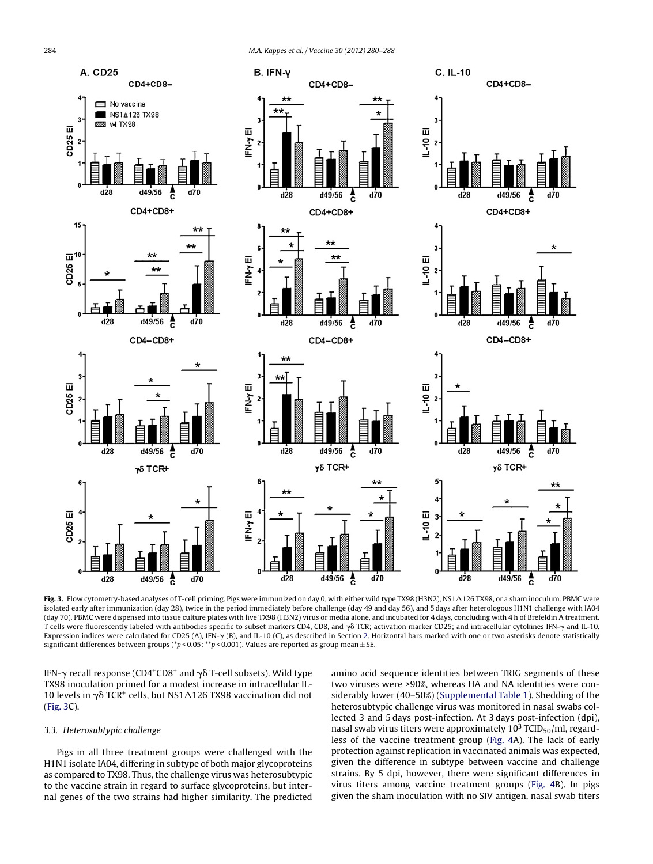<span id="page-4-0"></span>

**Fig. 3.** Flow cytometry-based analyses of T-cell priming. Pigs were immunized on day 0, with either wild type TX98 (H3N2), NS1  $\Delta$ 126 TX98, or a sham inoculum. PBMC were isolated early after immunization (day 28), twice in the period immediately before challenge (day 49 and day 56), and 5 days after heterologous H1N1 challenge with IA04 (day 70). PBMC were dispensed into tissue culture plates with live TX98 (H3N2) virus or media alone, and incubated for 4 days, concluding with 4 h of Brefeldin A treatment. T cells were fluorescently labeled with antibodies specific to subset markers CD4, CD8, and  $\gamma\delta$  TCR; activation marker CD25; and intracellular cytokines IFN- $\gamma$  and IL-10. Expression indices were calculated for CD25 (A), IFN-y (B), and IL-10 (C), as described in Section [2.](#page-1-0) Horizontal bars marked with one or two asterisks denote statistically significant differences between groups (\*p < 0.05; \*\*p < 0.001). Values are reported as group mean  $\pm$  SE.

IFN- $\gamma$  recall response (CD4<sup>+</sup>CD8<sup>+</sup> and  $\gamma\delta$  T-cell subsets). Wild type TX98 inoculation primed for a modest increase in intracellular IL-10 levels in  $\gamma\delta$  TCR<sup>+</sup> cells, but NS1 $\Delta$ 126 TX98 vaccination did not (Fig. 3C).

## 3.3. Heterosubtypic challenge

Pigs in all three treatment groups were challenged with the H1N1 isolate IA04, differing in subtype of both major glycoproteins as compared to TX98. Thus, the challenge virus was heterosubtypic to the vaccine strain in regard to surface glycoproteins, but internal genes of the two strains had higher similarity. The predicted amino acid sequence identities between TRIG segments of these two viruses were >90%, whereas HA and NA identities were considerably lower (40–50%) [\(Supplemental](#page-7-0) [Table](#page-7-0) [1\).](#page-7-0) Shedding of the heterosubtypic challenge virus was monitored in nasal swabs collected 3 and 5 days post-infection. At 3 days post-infection (dpi), nasal swab virus titers were approximately  $10^3$  TCID<sub>50</sub>/ml, regardless of the vaccine treatment group [\(Fig.](#page-5-0) 4A). The lack of early protection against replication in vaccinated animals was expected, given the difference in subtype between vaccine and challenge strains. By 5 dpi, however, there were significant differences in virus titers among vaccine treatment groups ([Fig.](#page-5-0) 4B). In pigs given the sham inoculation with no SIV antigen, nasal swab titers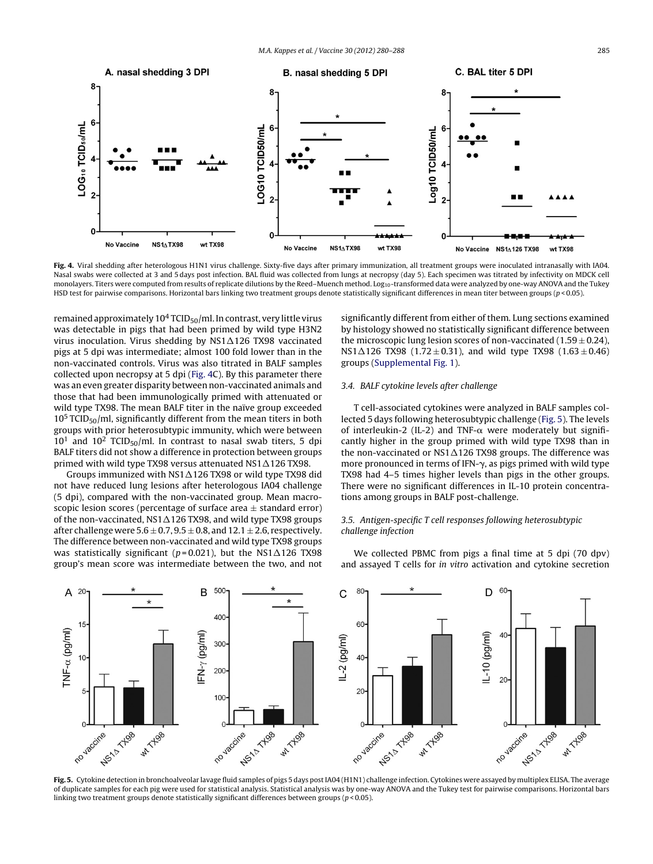<span id="page-5-0"></span>

**Fig. 4.** Viral shedding after heterologous H1N1 virus challenge. Sixty-five days after primary immunization, all treatment groups were inoculated intranasally with IA04. Nasal swabs were collected at 3 and 5 days post infection. BAL fluid was collected from lungs at necropsy (day 5). Each specimen was titrated by infectivity on MDCK cell monolayers. Titers were computed from results of replicate dilutions by the Reed-Muench method. Log<sub>10</sub>-transformed data were analyzed by one-way ANOVA and the Tukey HSD test for pairwise comparisons. Horizontal bars linking two treatment groups denote statistically significant differences in mean titer between groups ( $p$  < 0.05).

remained approximately  $10^4$  TCID<sub>50</sub>/ml. In contrast, very little virus was detectable in pigs that had been primed by wild type H3N2 virus inoculation. Virus shedding by NS1 $\Delta$ 126 TX98 vaccinated pigs at 5 dpi was intermediate; almost 100 fold lower than in the non-vaccinated controls. Virus was also titrated in BALF samples collected upon necropsy at 5 dpi (Fig. 4C). By this parameter there was an even greater disparity between non-vaccinated animals and those that had been immunologically primed with attenuated or wild type TX98. The mean BALF titer in the naïve group exceeded  $10<sup>5</sup> TCID<sub>50</sub>/ml$ , significantly different from the mean titers in both groups with prior heterosubtypic immunity, which were between  $10<sup>1</sup>$  and  $10<sup>2</sup>$  TCID<sub>50</sub>/ml. In contrast to nasal swab titers, 5 dpi BALF titers did not show a difference in protection between groups primed with wild type TX98 versus attenuated NS1 $\Delta$ 126 TX98.

Groups immunized with NS1 $\Delta$ 126 TX98 or wild type TX98 did not have reduced lung lesions after heterologous IA04 challenge (5 dpi), compared with the non-vaccinated group. Mean macroscopic lesion scores (percentage of surface area  $\pm$  standard error) of the non-vaccinated, NS1 $\Delta$ 126 TX98, and wild type TX98 groups after challenge were  $5.6 \pm 0.7$ ,  $9.5 \pm 0.8$ , and  $12.1 \pm 2.6$ , respectively. The difference between non-vaccinated and wild type TX98 groups was statistically significant (p=0.021), but the NS1 $\Delta$ 126 TX98 group's mean score was intermediate between the two, and not significantly different from either of them. Lung sections examined by histology showed no statistically significant difference between the microscopic lung lesion scores of non-vaccinated (1.59  $\pm$  0.24),  $NST\Delta 126$  TX98 (1.72 $\pm$ 0.31), and wild type TX98 (1.63 $\pm$ 0.46) groups ([Supplemental](#page-7-0) [Fig.](#page-7-0) [1\).](#page-7-0)

## 3.4. BALF cytokine levels after challenge

T cell-associated cytokines were analyzed in BALF samples collected 5 days following heterosubtypic challenge (Fig. 5). The levels of interleukin-2 (IL-2) and TNF- $\alpha$  were moderately but significantly higher in the group primed with wild type TX98 than in the non-vaccinated or NS1 $\Delta$ 126 TX98 groups. The difference was more pronounced in terms of IFN- $\gamma$ , as pigs primed with wild type TX98 had 4–5 times higher levels than pigs in the other groups. There were no significant differences in IL-10 protein concentrations among groups in BALF post-challenge.

## 3.5. Antigen-specific T cell responses following heterosubtypic challenge infection

We collected PBMC from pigs a final time at 5 dpi (70 dpv) and assayed T cells for in vitro activation and cytokine secretion



Fig. 5. Cytokine detection in bronchoalveolar lavage fluid samples of pigs 5 days post IA04 (H1N1) challenge infection. Cytokines were assayed by multiplex ELISA. The average of duplicate samples for each pig were used for statistical analysis. Statistical analysis was by one-way ANOVA and the Tukey test for pairwise comparisons. Horizontal bars linking two treatment groups denote statistically significant differences between groups (p < 0.05).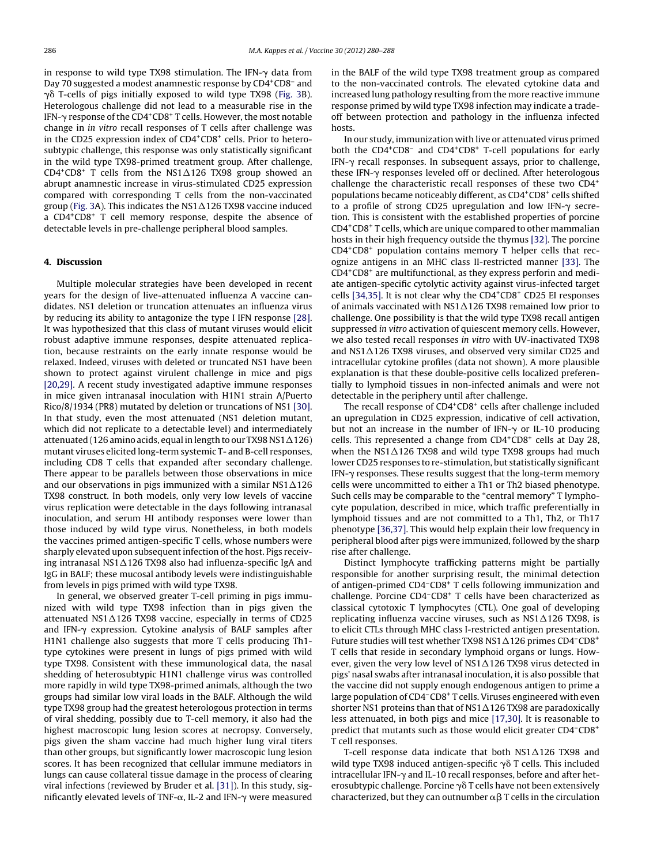in response to wild type TX98 stimulation. The IFN- $\gamma$  data from Day 70 suggested a modest anamnestic response by CD4<sup>+</sup>CD8<sup>-</sup> and  $\gamma$ ồ T-cells of pigs initially exposed to wild type TX98 ([Fig.](#page-4-0) 3B). Heterologous challenge did not lead to a measurable rise in the IFN- $\gamma$  response of the CD4 $^{\mathrm{+}}$ CD8 $^{\mathrm{+}}$  T cells. However, the most notable change in in vitro recall responses of T cells after challenge was in the CD25 expression index of CD4<sup>+</sup>CD8<sup>+</sup> cells. Prior to heterosubtypic challenge, this response was only statistically significant in the wild type TX98-primed treatment group. After challenge,  $CD4^+CD8^+$  T cells from the NS1 $\triangle$ 126 TX98 group showed an abrupt anamnestic increase in virus-stimulated CD25 expression compared with corresponding T cells from the non-vaccinated group [\(Fig.](#page-4-0) 3A). This indicates the NS1 $\Delta$ 126 TX98 vaccine induced a CD4+CD8+ T cell memory response, despite the absence of detectable levels in pre-challenge peripheral blood samples.

### **4. Discussion**

Multiple molecular strategies have been developed in recent years for the design of live-attenuated influenza A vaccine candidates. NS1 deletion or truncation attenuates an influenza virus by reducing its ability to antagonize the type I IFN response [\[28\].](#page-7-0) It was hypothesized that this class of mutant viruses would elicit robust adaptive immune responses, despite attenuated replication, because restraints on the early innate response would be relaxed. Indeed, viruses with deleted or truncated NS1 have been shown to protect against virulent challenge in mice and pigs [\[20,29\].](#page-7-0) A recent study investigated adaptive immune responses in mice given intranasal inoculation with H1N1 strain A/Puerto Rico/8/1934 (PR8) mutated by deletion or truncations of NS1 [\[30\].](#page-7-0) In that study, even the most attenuated (NS1 deletion mutant, which did not replicate to a detectable level) and intermediately attenuated (126 amino acids, equal in length to our TX98 NS1 $\Delta$ 126) mutant viruses elicited long-term systemic T- and B-cell responses, including CD8 T cells that expanded after secondary challenge. There appear to be parallels between those observations in mice and our observations in pigs immunized with a similar NS1 $\Delta$ 126 TX98 construct. In both models, only very low levels of vaccine virus replication were detectable in the days following intranasal inoculation, and serum HI antibody responses were lower than those induced by wild type virus. Nonetheless, in both models the vaccines primed antigen-specific T cells, whose numbers were sharply elevated upon subsequent infection of the host. Pigs receiving intranasal NS1 $\Delta$ 126 TX98 also had influenza-specific IgA and IgG in BALF; these mucosal antibody levels were indistinguishable from levels in pigs primed with wild type TX98.

In general, we observed greater T-cell priming in pigs immunized with wild type TX98 infection than in pigs given the attenuated NS1 $\Delta$ 126 TX98 vaccine, especially in terms of CD25 and IFN- $\gamma$  expression. Cytokine analysis of BALF samples after H1N1 challenge also suggests that more T cells producing Th1 type cytokines were present in lungs of pigs primed with wild type TX98. Consistent with these immunological data, the nasal shedding of heterosubtypic H1N1 challenge virus was controlled more rapidly in wild type TX98-primed animals, although the two groups had similar low viral loads in the BALF. Although the wild type TX98 group had the greatest heterologous protection in terms of viral shedding, possibly due to T-cell memory, it also had the highest macroscopic lung lesion scores at necropsy. Conversely, pigs given the sham vaccine had much higher lung viral titers than other groups, but significantly lower macroscopic lung lesion scores. It has been recognized that cellular immune mediators in lungs can cause collateral tissue damage in the process of clearing viral infections (reviewed by Bruder et al. [\[31\]\).](#page-7-0) In this study, significantly elevated levels of TNF- $\alpha$ , IL-2 and IFN- $\gamma$  were measured

in the BALF of the wild type TX98 treatment group as compared to the non-vaccinated controls. The elevated cytokine data and increased lung pathology resulting from the more reactive immune response primed by wild type TX98 infection may indicate a tradeoff between protection and pathology in the influenza infected hosts.

In our study, immunization with live or attenuated virus primed both the CD4<sup>+</sup>CD8<sup>-</sup> and CD4<sup>+</sup>CD8<sup>+</sup> T-cell populations for early IFN-- recall responses. In subsequent assays, prior to challenge, these IFN-γ responses leveled off or declined. After heterologous challenge the characteristic recall responses of these two CD4<sup>+</sup> populations became noticeably different, as CD4+CD8+ cells shifted to a profile of strong CD25 upregulation and low IFN- $\gamma$  secretion. This is consistent with the established properties of porcine CD4+CD8+ T cells, which are unique compared to other mammalian hosts in their high frequency outside the thymus [\[32\].](#page-7-0) The porcine CD4+CD8+ population contains memory T helper cells that recognize antigens in an MHC class II-restricted manner [\[33\].](#page-7-0) The CD4+CD8+ are multifunctional, as they express perforin and mediate antigen-specific cytolytic activity against virus-infected target cells [\[34,35\].](#page-7-0) It is not clear why the CD4+CD8+ CD25 EI responses of animals vaccinated with NS1 $\Delta$ 126 TX98 remained low prior to challenge. One possibility is that the wild type TX98 recall antigen suppressed in vitro activation of quiescent memory cells. However, we also tested recall responses in vitro with UV-inactivated TX98 and NS1 $\Delta$ 126 TX98 viruses, and observed very similar CD25 and intracellular cytokine profiles (data not shown). A more plausible explanation is that these double-positive cells localized preferentially to lymphoid tissues in non-infected animals and were not detectable in the periphery until after challenge.

The recall response of CD4<sup>+</sup>CD8<sup>+</sup> cells after challenge included an upregulation in CD25 expression, indicative of cell activation, but not an increase in the number of IFN- $\gamma$  or IL-10 producing cells. This represented a change from CD4+CD8+ cells at Day 28, when the NS1-126 TX98 and wild type TX98 groups had much lower CD25 responses to re-stimulation, but statistically significant IFN-- responses. These results suggest that the long-term memory cells were uncommitted to either a Th1 or Th2 biased phenotype. Such cells may be comparable to the "central memory" T lymphocyte population, described in mice, which traffic preferentially in lymphoid tissues and are not committed to a Th1, Th2, or Th17 phenotype [\[36,37\].](#page-8-0) This would help explain their low frequency in peripheral blood after pigs were immunized, followed by the sharp rise after challenge.

Distinct lymphocyte trafficking patterns might be partially responsible for another surprising result, the minimal detection of antigen-primed CD4–CD8+ T cells following immunization and challenge. Porcine CD4–CD8+ T cells have been characterized as classical cytotoxic T lymphocytes (CTL). One goal of developing replicating influenza vaccine viruses, such as  $NSA\Delta126$  TX98, is to elicit CTLs through MHC class I-restricted antigen presentation. Future studies will test whether TX98 NS1 $\Delta$ 126 primes CD4-CD8<sup>+</sup> T cells that reside in secondary lymphoid organs or lungs. However, given the very low level of NS1 $\Delta$ 126 TX98 virus detected in pigs' nasal swabs after intranasal inoculation, it is also possible that the vaccine did not supply enough endogenous antigen to prime a large population of CD4–CD8+ T cells. Viruses engineered with even shorter NS1 proteins than that of NS1 $\Delta$ 126 TX98 are paradoxically less attenuated, in both pigs and mice [\[17,30\].](#page-7-0) It is reasonable to predict that mutants such as those would elicit greater CD4–CD8+ T cell responses.

T-cell response data indicate that both NS1 $\Delta$ 126 TX98 and wild type TX98 induced antigen-specific  $\gamma\delta$  T cells. This included intracellular IFN- $\gamma$  and IL-10 recall responses, before and after heterosubtypic challenge. Porcine  $\gamma$  $\delta$  T cells have not been extensively characterized, but they can outnumber  $\alpha\beta$  T cells in the circulation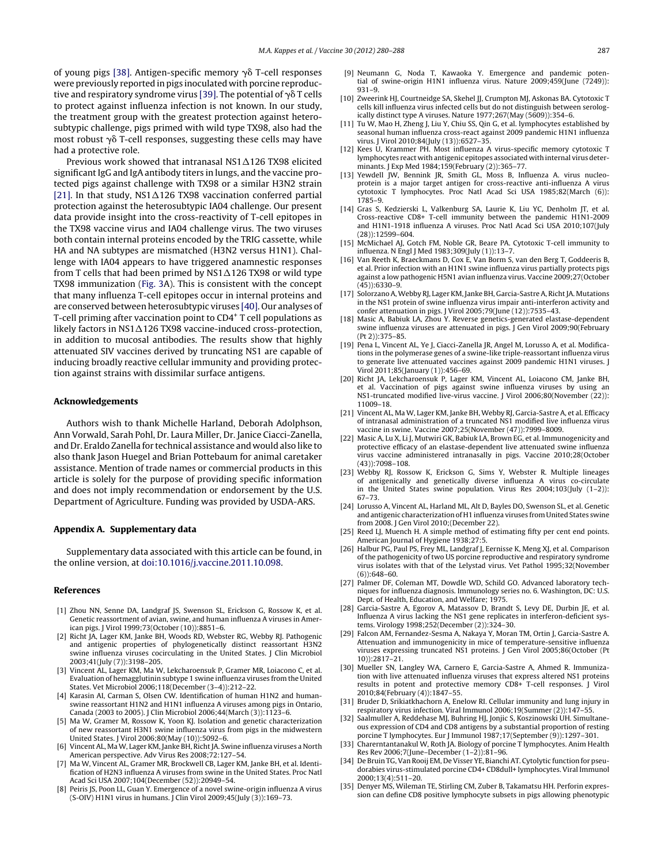<span id="page-7-0"></span>of young pigs [\[38\].](#page-8-0) Antigen-specific memory  $\gamma$ ò T-cell responses were previously reported in pigs inoculated with porcine reproduc-tive and respiratory syndrome virus [\[39\].](#page-8-0) The potential of  $\gamma$ õ T cells to protect against influenza infection is not known. In our study, the treatment group with the greatest protection against heterosubtypic challenge, pigs primed with wild type TX98, also had the most robust  $\gamma$  $\delta$  T-cell responses, suggesting these cells may have had a protective role.

Previous work showed that intranasal NS1 $\Delta$ 126 TX98 elicited significant IgG and IgA antibody titers in lungs, and the vaccine protected pigs against challenge with TX98 or a similar H3N2 strain [21]. In that study, NS1 $\Delta$ 126 TX98 vaccination conferred partial protection against the heterosubtypic IA04 challenge. Our present data provide insight into the cross-reactivity of T-cell epitopes in the TX98 vaccine virus and IA04 challenge virus. The two viruses both contain internal proteins encoded by the TRIG cassette, while HA and NA subtypes are mismatched (H3N2 versus H1N1). Challenge with IA04 appears to have triggered anamnestic responses from T cells that had been primed by NS1 $\Delta$ 126 TX98 or wild type TX98 immunization [\(Fig.](#page-4-0) 3A). This is consistent with the concept that many influenza T-cell epitopes occur in internal proteins and are conserved between heterosubtypic viruses [\[40\].](#page-8-0) Our analyses of T-cell priming after vaccination point to CD4+ T cell populations as likely factors in NS1 $\Delta$ 126 TX98 vaccine-induced cross-protection, in addition to mucosal antibodies. The results show that highly attenuated SIV vaccines derived by truncating NS1 are capable of inducing broadly reactive cellular immunity and providing protection against strains with dissimilar surface antigens.

#### **Acknowledgements**

Authors wish to thank Michelle Harland, Deborah Adolphson, Ann Vorwald, Sarah Pohl, Dr. Laura Miller, Dr. Janice Ciacci-Zanella, and Dr. Eraldo Zanella for technical assistance and would also like to also thank Jason Huegel and Brian Pottebaum for animal caretaker assistance. Mention of trade names or commercial products in this article is solely for the purpose of providing specific information and does not imply recommendation or endorsement by the U.S. Department of Agriculture. Funding was provided by USDA-ARS.

#### **Appendix A. Supplementary data**

Supplementary data associated with this article can be found, in the online version, at [doi:10.1016/j.vaccine.2011.10.098.](http://dx.doi.org/10.1016/j.vaccine.2011.10.098)

#### **References**

- [1] Zhou NN, Senne DA, Landgraf JS, Swenson SL, Erickson G, Rossow K, et al. Genetic reassortment of avian, swine, and human influenza A viruses in American pigs. J Virol 1999;73(October (10)):8851–6.
- [2] Richt JA, Lager KM, Janke BH, Woods RD, Webster RG, Webby RJ. Pathogenic and antigenic properties of phylogenetically distinct reassortant H3N2 swine influenza viruses cocirculating in the United States. J Clin Microbiol 2003;41(July (7)):3198–205.
- Vincent AL, Lager KM, Ma W, Lekcharoensuk P, Gramer MR, Loiacono C, et al. Evaluation of hemagglutinin subtype 1 swine influenza viruses from the United States. Vet Microbiol 2006;118(December (3–4)):212–22.
- [4] Karasin AI, Carman S, Olsen CW. Identification of human H1N2 and humanswine reassortant H1N2 and H1N1 influenza A viruses among pigs in Ontario, Canada (2003 to 2005). J Clin Microbiol 2006;44(March (3)):1123–6.
- [5] Ma W, Gramer M, Rossow K, Yoon KJ. Isolation and genetic characterization of new reassortant H3N1 swine influenza virus from pigs in the midwestern United States. J Virol 2006;80(May (10)):5092–6.
- Vincent AL, Ma W, Lager KM, Janke BH, Richt JA. Swine influenza viruses a North American perspective. Adv Virus Res 2008;72:127–54.
- [7] Ma W, Vincent AL, Gramer MR, Brockwell CB, Lager KM, Janke BH, et al. Identification of H2N3 influenza A viruses from swine in the United States. Proc Natl Acad Sci USA 2007;104(December (52)):20949–54.
- [8] Peiris JS, Poon LL, Guan Y. Emergence of a novel swine-origin influenza A virus (S-OIV) H1N1 virus in humans. J Clin Virol 2009;45(July (3)):169–73.
- [9] Neumann G, Noda T, Kawaoka Y. Emergence and pandemic potential of swine-origin H1N1 influenza virus. Nature 2009;459(June (7249)): 931–9.
- [10] Zweerink HJ, Courtneidge SA, Skehel JJ, Crumpton MJ, Askonas BA. Cytotoxic T cells kill influenza virus infected cells but do not distinguish between serologically distinct type A viruses. Nature 1977;267(May (5609)):354-6.
- [11] Tu W, Mao H, Zheng J, Liu Y, Chiu SS, Qin G, et al. lymphocytes established by seasonal human influenza cross-react against 2009 pandemic H1N1 influenza virus. J Virol 2010;84(July (13)):6527–35.
- [12] Kees U, Krammer PH. Most influenza A virus-specific memory cytotoxic T lymphocytes react with antigenic epitopes associated with internal virus determinants. J Exp Med 1984;159(February (2)):365–77.
- [13] Yewdell JW, Bennink JR, Smith GL, Moss B, Influenza A. virus nucleoprotein is a major target antigen for cross-reactive anti-influenza A virus cytotoxic T lymphocytes. Proc Natl Acad Sci USA 1985;82(March (6)): 1785–9.
- [14] Gras S, Kedzierski L, Valkenburg SA, Laurie K, Liu YC, Denholm JT, et al. Cross-reactive CD8+ T-cell immunity between the pandemic H1N1-2009 and H1N1-1918 influenza A viruses. Proc Natl Acad Sci USA 2010;107(July (28)):12599–604.
- [15] McMichael AJ, Gotch FM, Noble GR, Beare PA. Cytotoxic T-cell immunity to influenza. N Engl J Med 1983;309(July (1)):13–7.
- [16] Van Reeth K, Braeckmans D, Cox E, Van Borm S, van den Berg T, Goddeeris B, et al. Prior infection with an H1N1 swine influenza virus partially protects pigs against a low pathogenic H5N1 avian influenza virus. Vaccine 2009;27(October  $(45)$ :6330-9.
- [17] Solorzano A, Webby RJ, Lager KM, Janke BH, Garcia-Sastre A, Richt JA. Mutations in the NS1 protein of swine influenza virus impair anti-interferon activity and confer attenuation in pigs. J Virol 2005;79(June (12)):7535–43.
- [18] Masic A, Babiuk LA, Zhou Y. Reverse genetics-generated elastase-dependent swine influenza viruses are attenuated in pigs. J Gen Virol 2009;90(February (Pt 2)):375–85.
- [19] Pena L, Vincent AL, Ye J, Ciacci-Zanella JR, Angel M, Lorusso A, et al. Modifications in the polymerase genes of a swine-like triple-reassortant influenza virus to generate live attenuated vaccines against 2009 pandemic H1N1 viruses. J Virol 2011;85(January (1)):456–69.
- [20] Richt JA, Lekcharoensuk P, Lager KM, Vincent AL, Loiacono CM, Janke BH, et al. Vaccination of pigs against swine influenza viruses by using an NS1-truncated modified live-virus vaccine. J Virol 2006;80(November (22)): 11009–18.
- [21] Vincent AL, Ma W, Lager KM, Janke BH, Webby RJ, Garcia-Sastre A, et al. Efficacy of intranasal administration of a truncated NS1 modified live influenza virus vaccine in swine. Vaccine 2007;25(November (47)):7999–8009.
- [22] Masic A, Lu X, Li J, Mutwiri GK, Babiuk LA, Brown EG, et al. Immunogenicity and protective efficacy of an elastase-dependent live attenuated swine influenza virus vaccine administered intranasally in pigs. Vaccine 2010;28(October (43)):7098–108.
- [23] Webby RJ, Rossow K, Erickson G, Sims Y, Webster R, Multiple lineages of antigenically and genetically diverse influenza A virus co-circulate in the United States swine population. Virus Res 2004;103(July (1–2)): 67–73.
- [24] Lorusso A, Vincent AL, Harland ML, Alt D, Bayles DO, Swenson SL, et al. Genetic and antigenic characterization of H1 influenza viruses from United States swine from 2008. J Gen Virol 2010;(December 22).
- [25] Reed LJ, Muench H. A simple method of estimating fifty per cent end points. American Journal of Hygiene 1938;27:5.
- [26] Halbur PG, Paul PS, Frey ML, Landgraf J, Eernisse K, Meng XJ, et al. Comparison of the pathogenicity of two US porcine reproductive and respiratory syndrome virus isolates with that of the Lelystad virus. Vet Pathol 1995;32(November (6)):648–60.
- [27] Palmer DF, Coleman MT, Dowdle WD, Schild GO. Advanced laboratory techniques for influenza diagnosis. Immunology series no. 6. Washington, DC: U.S. Dept. of Health, Education, and Welfare; 1975.
- [28] Garcia-Sastre A, Egorov A, Matassov D, Brandt S, Levy DE, Durbin JE, et al. Influenza A virus lacking the NS1 gene replicates in interferon-deficient systems. Virology 1998;252(December (2)):324–30.
- [29] Falcon AM, Fernandez-Sesma A, Nakaya Y, Moran TM, Ortin J, Garcia-Sastre A. Attenuation and immunogenicity in mice of temperature-sensitive influenza viruses expressing truncated NS1 proteins. J Gen Virol 2005;86(October (Pt 10)):2817–21.
- [30] Mueller SN, Langley WA, Carnero E, Garcia-Sastre A, Ahmed R. Immunization with live attenuated influenza viruses that express altered NS1 proteins results in potent and protective memory CD8+ T-cell responses. J Virol 2010;84(February (4)):1847–55.
- [31] Bruder D, Srikiatkhachorn A, Enelow RI. Cellular immunity and lung injury in respiratory virus infection. Viral Immunol 2006;19(Summer (2)):147–55.
- Saalmuller A, Reddehase MJ, Buhring HJ, Jonjic S, Koszinowski UH. Simultaneous expression of CD4 and CD8 antigens by a substantial proportion of resting porcine T lymphocytes. Eur J Immunol 1987;17(September (9)):1297–301.
- [33] Charerntantanakul W, Roth JA. Biology of porcine T lymphocytes. Anim Health Res Rev 2006;7(June–December (1–2)):81–96.
- [34] De Bruin TG, Van Rooij EM, De Visser YE, Bianchi AT. Cytolytic function for pseudorabies virus-stimulated porcine CD4+ CD8dull+ lymphocytes. Viral Immunol 2000;13(4):511–20.
- [35] Denyer MS, Wileman TE, Stirling CM, Zuber B, Takamatsu HH. Perforin expression can define CD8 positive lymphocyte subsets in pigs allowing phenotypic